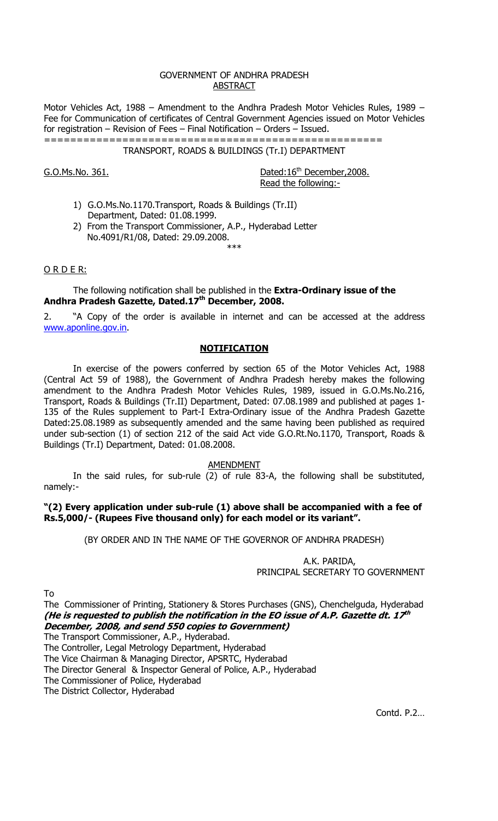#### GOVERNMENT OF ANDHRA PRADESH ABSTRACT

Motor Vehicles Act, 1988 – Amendment to the Andhra Pradesh Motor Vehicles Rules, 1989 – Fee for Communication of certificates of Central Government Agencies issued on Motor Vehicles for registration – Revision of Fees – Final Notification – Orders – Issued.

==================================================== TRANSPORT, ROADS & BUILDINGS (Tr.I) DEPARTMENT

 $G.O.Ms.No. 361.$  Dated: $16<sup>th</sup>$  December, 2008. Read the following:-

- 1) G.O.Ms.No.1170.Transport, Roads & Buildings (Tr.II) Department, Dated: 01.08.1999.
- 2) From the Transport Commissioner, A.P., Hyderabad Letter No.4091/R1/08, Dated: 29.09.2008.

### O R D E R:

 The following notification shall be published in the **Extra-Ordinary issue of the Andhra Pradesh Gazette, Dated.17th December, 2008.** 

2. "A Copy of the order is available in internet and can be accessed at the address www.aponline.gov.in.

\*\*\*

# **NOTIFICATION**

 In exercise of the powers conferred by section 65 of the Motor Vehicles Act, 1988 (Central Act 59 of 1988), the Government of Andhra Pradesh hereby makes the following amendment to the Andhra Pradesh Motor Vehicles Rules, 1989, issued in G.O.Ms.No.216, Transport, Roads & Buildings (Tr.II) Department, Dated: 07.08.1989 and published at pages 1- 135 of the Rules supplement to Part-I Extra-Ordinary issue of the Andhra Pradesh Gazette Dated:25.08.1989 as subsequently amended and the same having been published as required under sub-section (1) of section 212 of the said Act vide G.O.Rt.No.1170, Transport, Roads & Buildings (Tr.I) Department, Dated: 01.08.2008.

AMENDMENT

 In the said rules, for sub-rule (2) of rule 83-A, the following shall be substituted, namely:-

### **"(2) Every application under sub-rule (1) above shall be accompanied with a fee of Rs.5,000/- (Rupees Five thousand only) for each model or its variant".**

(BY ORDER AND IN THE NAME OF THE GOVERNOR OF ANDHRA PRADESH)

 A.K. PARIDA, PRINCIPAL SECRETARY TO GOVERNMENT

To

The Commissioner of Printing, Stationery & Stores Purchases (GNS), Chenchelguda, Hyderabad **(He is requested to publish the notification in the EO issue of A.P. Gazette dt. 17th December, 2008, and send 550 copies to Government)**

The Transport Commissioner, A.P., Hyderabad.

The Controller, Legal Metrology Department, Hyderabad

The Vice Chairman & Managing Director, APSRTC, Hyderabad

The Director General & Inspector General of Police, A.P., Hyderabad

The Commissioner of Police, Hyderabad

The District Collector, Hyderabad

Contd. P.2…